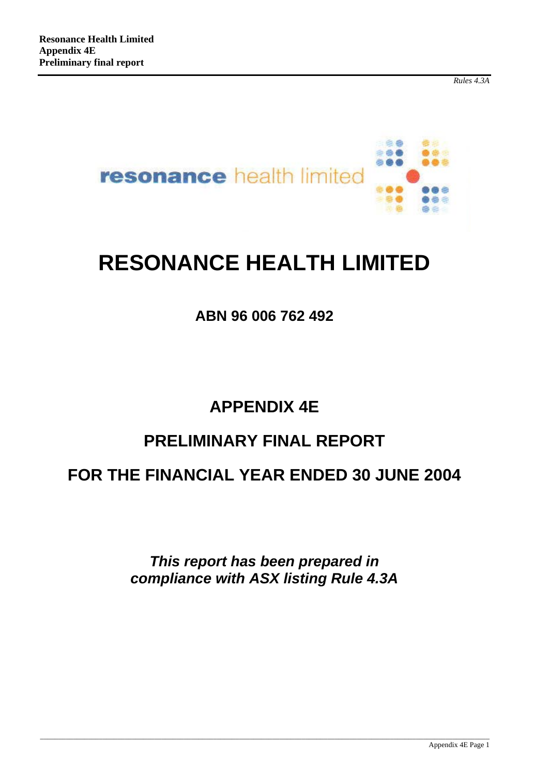*Rules 4.3A*



# **RESONANCE HEALTH LIMITED**

### **ABN 96 006 762 492**

## **APPENDIX 4E**

## **PRELIMINARY FINAL REPORT**

### **FOR THE FINANCIAL YEAR ENDED 30 JUNE 2004**

*This report has been prepared in compliance with ASX listing Rule 4.3A*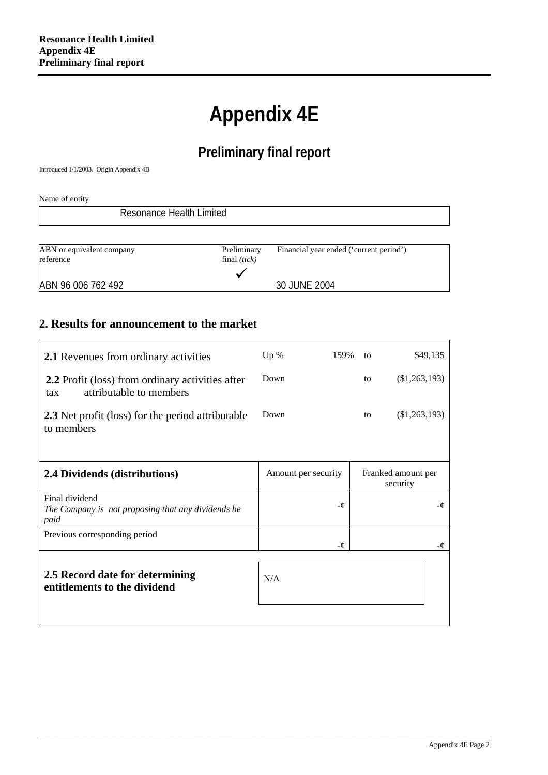# **Appendix 4E**

### **Preliminary final report**

Introduced 1/1/2003. Origin Appendix 4B

Name of entity

| Resonance Health Limited               |                               |                                         |  |
|----------------------------------------|-------------------------------|-----------------------------------------|--|
|                                        |                               |                                         |  |
| ABN or equivalent company<br>reference | Preliminary<br>final $(tick)$ | Financial year ended ('current period') |  |
| ABN 96 006 762 492                     |                               | 30 JUNE 2004                            |  |

#### **2. Results for announcement to the market**

| <b>2.1</b> Revenues from ordinary activities                                              | Up $%$              | 159% | to | \$49,135                       |
|-------------------------------------------------------------------------------------------|---------------------|------|----|--------------------------------|
| <b>2.2</b> Profit (loss) from ordinary activities after<br>attributable to members<br>tax | Down                |      | to | $(\$1,263,193)$                |
| <b>2.3</b> Net profit (loss) for the period attributable<br>to members                    | Down                |      | to | (\$1,263,193)                  |
| 2.4 Dividends (distributions)                                                             | Amount per security |      |    | Franked amount per<br>security |
| Final dividend<br>The Company is not proposing that any dividends be<br>paid              |                     | -¢   |    |                                |
| Previous corresponding period                                                             |                     | -¢   |    |                                |
| 2.5 Record date for determining<br>entitlements to the dividend                           | N/A                 |      |    |                                |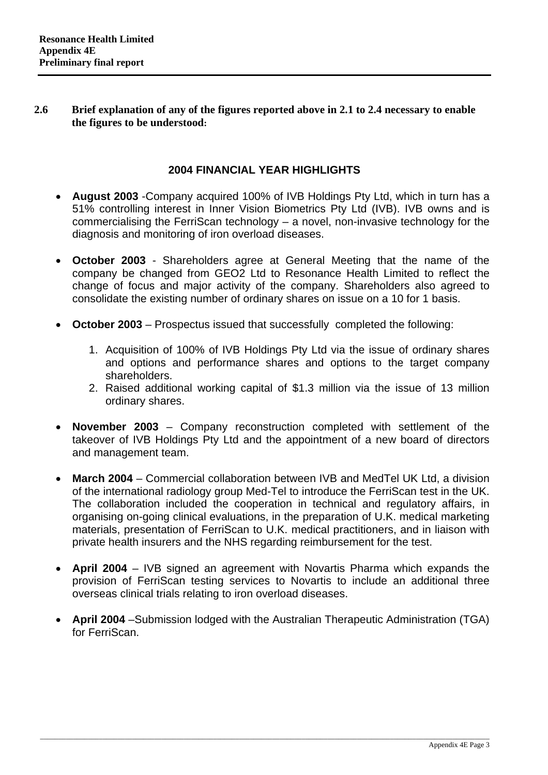#### **2.6 Brief explanation of any of the figures reported above in 2.1 to 2.4 necessary to enable the figures to be understood:**

#### **2004 FINANCIAL YEAR HIGHLIGHTS**

- **August 2003** -Company acquired 100% of IVB Holdings Pty Ltd, which in turn has a 51% controlling interest in Inner Vision Biometrics Pty Ltd (IVB). IVB owns and is commercialising the FerriScan technology – a novel, non-invasive technology for the diagnosis and monitoring of iron overload diseases.
- **October 2003** Shareholders agree at General Meeting that the name of the company be changed from GEO2 Ltd to Resonance Health Limited to reflect the change of focus and major activity of the company. Shareholders also agreed to consolidate the existing number of ordinary shares on issue on a 10 for 1 basis.
- **October 2003** Prospectus issued that successfully completed the following:
	- 1. Acquisition of 100% of IVB Holdings Pty Ltd via the issue of ordinary shares and options and performance shares and options to the target company shareholders.
	- 2. Raised additional working capital of \$1.3 million via the issue of 13 million ordinary shares.
- **November 2003** Company reconstruction completed with settlement of the takeover of IVB Holdings Pty Ltd and the appointment of a new board of directors and management team.
- **March 2004** Commercial collaboration between IVB and MedTel UK Ltd, a division of the international radiology group Med-Tel to introduce the FerriScan test in the UK. The collaboration included the cooperation in technical and regulatory affairs, in organising on-going clinical evaluations, in the preparation of U.K. medical marketing materials, presentation of FerriScan to U.K. medical practitioners, and in liaison with private health insurers and the NHS regarding reimbursement for the test.
- **April 2004** IVB signed an agreement with Novartis Pharma which expands the provision of FerriScan testing services to Novartis to include an additional three overseas clinical trials relating to iron overload diseases.
- **April 2004** –Submission lodged with the Australian Therapeutic Administration (TGA) for FerriScan.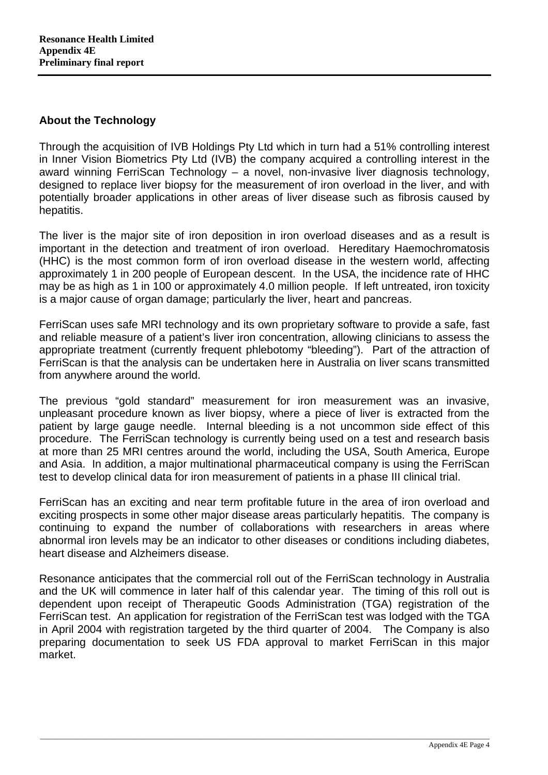#### **About the Technology**

Through the acquisition of IVB Holdings Pty Ltd which in turn had a 51% controlling interest in Inner Vision Biometrics Pty Ltd (IVB) the company acquired a controlling interest in the award winning FerriScan Technology – a novel, non-invasive liver diagnosis technology, designed to replace liver biopsy for the measurement of iron overload in the liver, and with potentially broader applications in other areas of liver disease such as fibrosis caused by hepatitis.

The liver is the major site of iron deposition in iron overload diseases and as a result is important in the detection and treatment of iron overload. Hereditary Haemochromatosis (HHC) is the most common form of iron overload disease in the western world, affecting approximately 1 in 200 people of European descent. In the USA, the incidence rate of HHC may be as high as 1 in 100 or approximately 4.0 million people. If left untreated, iron toxicity is a major cause of organ damage; particularly the liver, heart and pancreas.

FerriScan uses safe MRI technology and its own proprietary software to provide a safe, fast and reliable measure of a patient's liver iron concentration, allowing clinicians to assess the appropriate treatment (currently frequent phlebotomy "bleeding"). Part of the attraction of FerriScan is that the analysis can be undertaken here in Australia on liver scans transmitted from anywhere around the world.

The previous "gold standard" measurement for iron measurement was an invasive, unpleasant procedure known as liver biopsy, where a piece of liver is extracted from the patient by large gauge needle. Internal bleeding is a not uncommon side effect of this procedure. The FerriScan technology is currently being used on a test and research basis at more than 25 MRI centres around the world, including the USA, South America, Europe and Asia. In addition, a major multinational pharmaceutical company is using the FerriScan test to develop clinical data for iron measurement of patients in a phase III clinical trial.

FerriScan has an exciting and near term profitable future in the area of iron overload and exciting prospects in some other major disease areas particularly hepatitis. The company is continuing to expand the number of collaborations with researchers in areas where abnormal iron levels may be an indicator to other diseases or conditions including diabetes, heart disease and Alzheimers disease.

Resonance anticipates that the commercial roll out of the FerriScan technology in Australia and the UK will commence in later half of this calendar year. The timing of this roll out is dependent upon receipt of Therapeutic Goods Administration (TGA) registration of the FerriScan test. An application for registration of the FerriScan test was lodged with the TGA in April 2004 with registration targeted by the third quarter of 2004. The Company is also preparing documentation to seek US FDA approval to market FerriScan in this major market.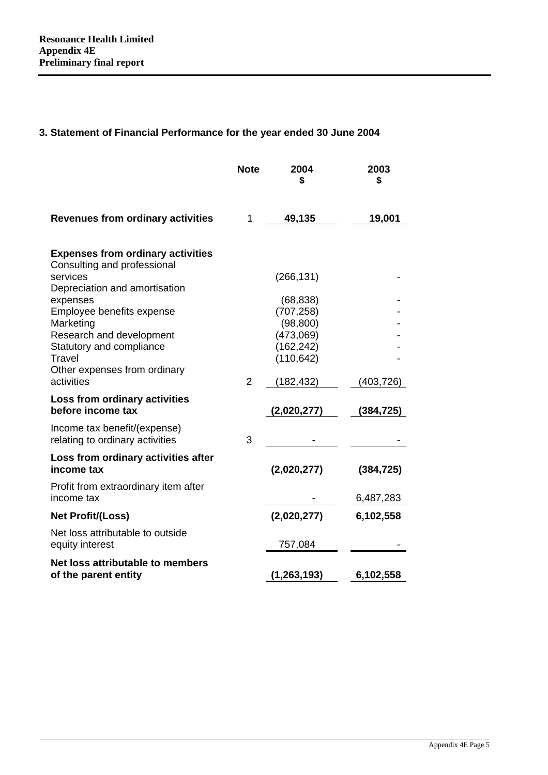### **3. Statement of Financial Performance for the year ended 30 June 2004**

|                                                                                                | <b>Note</b>    | 2004<br>\$                                         | 2003<br>\$ |
|------------------------------------------------------------------------------------------------|----------------|----------------------------------------------------|------------|
| <b>Revenues from ordinary activities</b>                                                       | 1              | 49,135                                             | 19,001     |
| <b>Expenses from ordinary activities</b><br>Consulting and professional                        |                |                                                    |            |
| services<br>Depreciation and amortisation<br>expenses                                          |                | (266, 131)<br>(68, 838)                            |            |
| Employee benefits expense<br>Marketing<br>Research and development<br>Statutory and compliance |                | (707, 258)<br>(98, 800)<br>(473,069)<br>(162, 242) |            |
| Travel<br>Other expenses from ordinary<br>activities                                           | $\overline{2}$ | (110, 642)<br>(182,432)                            | (403,726)  |
| Loss from ordinary activities<br>before income tax                                             |                | (2,020,277)                                        | (384, 725) |
| Income tax benefit/(expense)<br>relating to ordinary activities                                | 3              |                                                    |            |
| Loss from ordinary activities after<br>income tax                                              |                | (2,020,277)                                        | (384, 725) |
| Profit from extraordinary item after<br>income tax                                             |                |                                                    | 6,487,283  |
| <b>Net Profit/(Loss)</b>                                                                       |                | (2,020,277)                                        | 6,102,558  |
| Net loss attributable to outside<br>equity interest                                            |                | 757,084                                            |            |
| Net loss attributable to members<br>of the parent entity                                       |                | (1, 263, 193)                                      | 6,102,558  |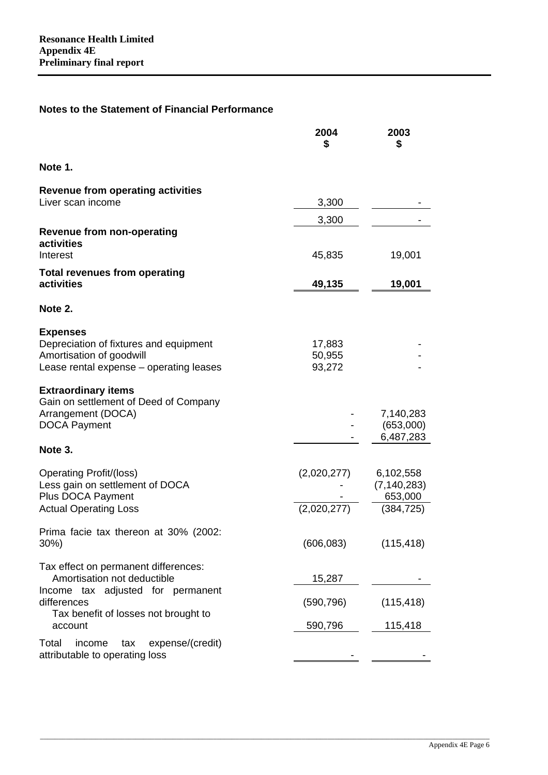#### **Notes to the Statement of Financial Performance**

|                                                                                                                                  | 2004<br>\$                 | 2003<br>\$                            |
|----------------------------------------------------------------------------------------------------------------------------------|----------------------------|---------------------------------------|
| Note 1.                                                                                                                          |                            |                                       |
| <b>Revenue from operating activities</b>                                                                                         |                            |                                       |
| Liver scan income                                                                                                                | 3,300                      |                                       |
| <b>Revenue from non-operating</b><br>activities<br>Interest                                                                      | 3,300<br>45,835            | 19,001                                |
| <b>Total revenues from operating</b><br>activities                                                                               | 49,135                     | 19,001                                |
| Note 2.                                                                                                                          |                            |                                       |
| <b>Expenses</b><br>Depreciation of fixtures and equipment<br>Amortisation of goodwill<br>Lease rental expense - operating leases | 17,883<br>50,955<br>93,272 |                                       |
| <b>Extraordinary items</b><br>Gain on settlement of Deed of Company<br>Arrangement (DOCA)<br><b>DOCA Payment</b>                 |                            | 7,140,283<br>(653,000)<br>6,487,283   |
| Note 3.                                                                                                                          |                            |                                       |
| <b>Operating Profit/(loss)</b><br>Less gain on settlement of DOCA<br>Plus DOCA Payment                                           | (2,020,277)                | 6,102,558<br>(7, 140, 283)<br>653,000 |
| <b>Actual Operating Loss</b>                                                                                                     | (2,020,277)                | (384, 725)                            |
| Prima facie tax thereon at 30% (2002:<br>30%)                                                                                    | (606, 083)                 | (115, 418)                            |
| Tax effect on permanent differences:<br>Amortisation not deductible                                                              | 15,287                     |                                       |
| Income tax adjusted for permanent<br>differences<br>Tax benefit of losses not brought to                                         | (590, 796)                 | (115, 418)                            |
| account                                                                                                                          | 590,796                    | 115,418                               |
| expense/(credit)<br>Total<br>income<br>tax<br>attributable to operating loss                                                     |                            |                                       |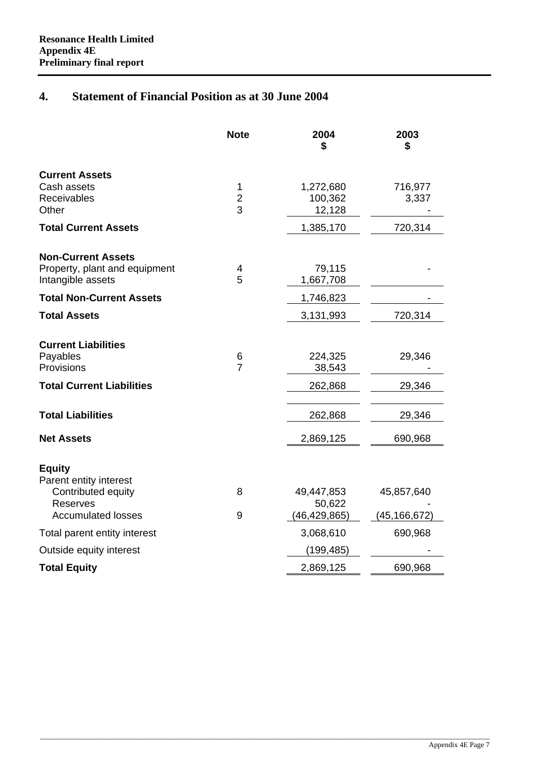#### **4. Statement of Financial Position as at 30 June 2004**

|                                                    | <b>Note</b>         | 2004<br>\$               | 2003<br>\$   |
|----------------------------------------------------|---------------------|--------------------------|--------------|
| <b>Current Assets</b>                              |                     |                          |              |
| Cash assets                                        | 1                   | 1,272,680                | 716,977      |
| Receivables<br>Other                               | $\overline{2}$<br>3 | 100,362<br>12,128        | 3,337        |
| <b>Total Current Assets</b>                        |                     | 1,385,170                | 720,314      |
|                                                    |                     |                          |              |
| <b>Non-Current Assets</b>                          |                     |                          |              |
| Property, plant and equipment<br>Intangible assets | 4<br>5              | 79,115<br>1,667,708      |              |
| <b>Total Non-Current Assets</b>                    |                     | 1,746,823                |              |
| <b>Total Assets</b>                                |                     | 3,131,993                | 720,314      |
|                                                    |                     |                          |              |
| <b>Current Liabilities</b>                         |                     |                          |              |
| Payables<br>Provisions                             | 6<br>$\overline{7}$ | 224,325<br>38,543        | 29,346       |
| <b>Total Current Liabilities</b>                   |                     | 262,868                  | 29,346       |
|                                                    |                     |                          |              |
| <b>Total Liabilities</b>                           |                     | 262,868                  | 29,346       |
| <b>Net Assets</b>                                  |                     | 2,869,125                | 690,968      |
| <b>Equity</b><br>Parent entity interest            |                     |                          |              |
| Contributed equity                                 | 8                   | 49,447,853               | 45,857,640   |
| <b>Reserves</b><br><b>Accumulated losses</b>       | 9                   | 50,622<br>(46, 429, 865) | (45,166,672) |
| Total parent entity interest                       |                     | 3,068,610                | 690,968      |
| Outside equity interest                            |                     | (199, 485)               |              |
| <b>Total Equity</b>                                |                     | 2,869,125                | 690,968      |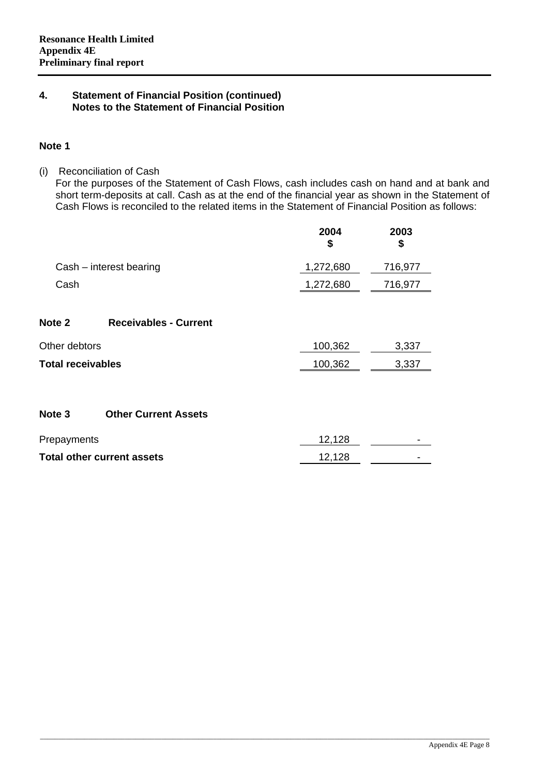#### **Note 1**

(i) Reconciliation of Cash

For the purposes of the Statement of Cash Flows, cash includes cash on hand and at bank and short term-deposits at call. Cash as at the end of the financial year as shown in the Statement of Cash Flows is reconciled to the related items in the Statement of Financial Position as follows:

|                   |                                   | 2004<br>\$ | 2003<br>\$ |
|-------------------|-----------------------------------|------------|------------|
|                   | Cash - interest bearing           | 1,272,680  | 716,977    |
| Cash              |                                   | 1,272,680  | 716,977    |
| Note <sub>2</sub> | <b>Receivables - Current</b>      |            |            |
| Other debtors     |                                   | 100,362    | 3,337      |
| Total receivables |                                   | 100,362    | 3,337      |
| Note <sub>3</sub> | <b>Other Current Assets</b>       |            |            |
| Prepayments       |                                   | 12,128     |            |
|                   | <b>Total other current assets</b> | 12,128     |            |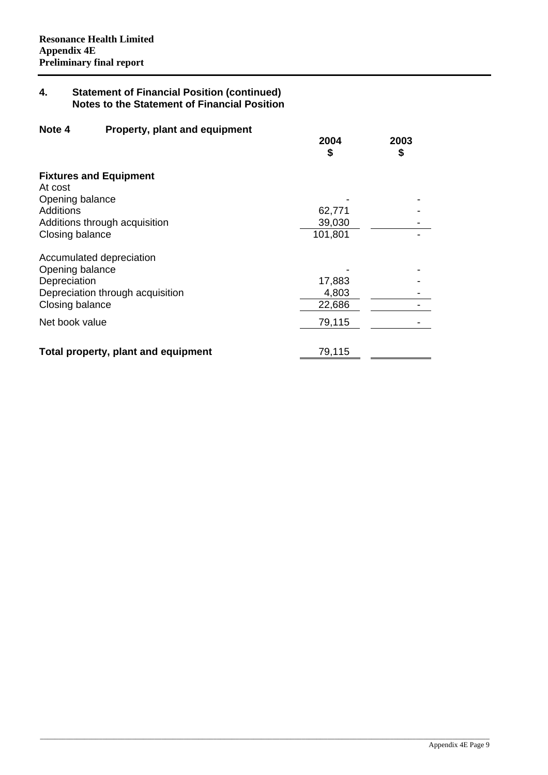| Note 4<br>Property, plant and equipment |            |            |
|-----------------------------------------|------------|------------|
|                                         | 2004<br>\$ | 2003<br>\$ |
|                                         |            |            |
| <b>Fixtures and Equipment</b>           |            |            |
| At cost                                 |            |            |
| Opening balance                         |            |            |
| Additions                               | 62,771     |            |
| Additions through acquisition           | 39,030     |            |
| Closing balance                         | 101,801    |            |
| Accumulated depreciation                |            |            |
| Opening balance                         |            |            |
| Depreciation                            | 17,883     |            |
| Depreciation through acquisition        | 4,803      |            |
| Closing balance                         | 22,686     |            |
| Net book value                          | 79,115     |            |
|                                         |            |            |
| Total property, plant and equipment     | 79,115     |            |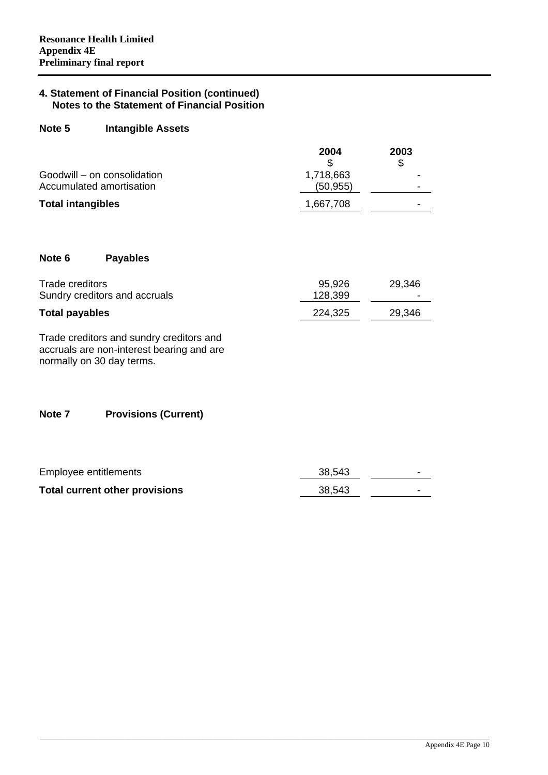#### **Note 5 Intangible Assets**

|                                                         | 2004                  | 2003 |
|---------------------------------------------------------|-----------------------|------|
| Goodwill – on consolidation<br>Accumulated amortisation | 1,718,663<br>(50,955) |      |
| <b>Total intangibles</b>                                | 1,667,708             |      |

#### **Note 6 Payables**

| Trade creditors               | 95,926  | 29,346 |
|-------------------------------|---------|--------|
| Sundry creditors and accruals | 128,399 | -      |
| <b>Total payables</b>         | 224,325 | 29,346 |

Trade creditors and sundry creditors and accruals are non-interest bearing and are normally on 30 day terms.

#### **Note 7 Provisions (Current)**

| Employee entitlements                 | 38,543 |  |
|---------------------------------------|--------|--|
| <b>Total current other provisions</b> | 38,543 |  |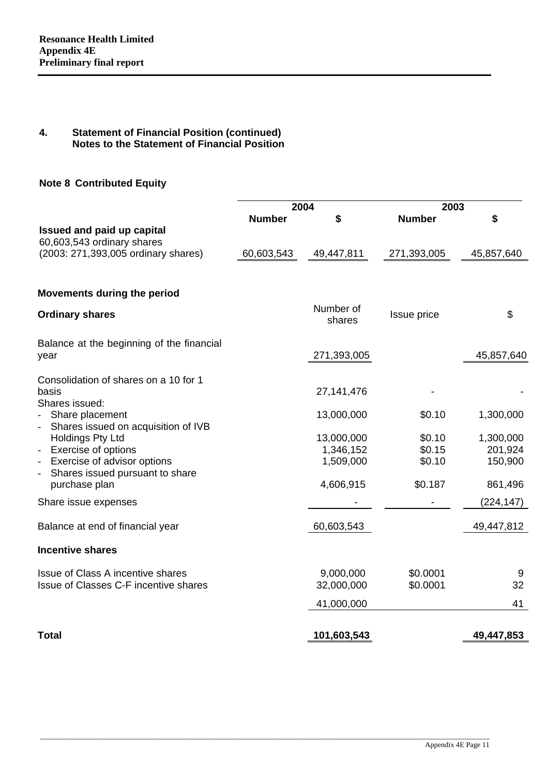#### **Note 8 Contributed Equity**

|                                                                                            |               | 2004        | 2003          |            |
|--------------------------------------------------------------------------------------------|---------------|-------------|---------------|------------|
|                                                                                            | <b>Number</b> | S           | <b>Number</b> | \$         |
| Issued and paid up capital                                                                 |               |             |               |            |
| 60,603,543 ordinary shares                                                                 |               |             |               |            |
| (2003: 271,393,005 ordinary shares)                                                        | 60,603,543    | 49,447,811  | 271,393,005   | 45,857,640 |
| <b>Movements during the period</b>                                                         |               |             |               |            |
|                                                                                            |               | Number of   |               |            |
| <b>Ordinary shares</b>                                                                     |               | shares      | Issue price   | \$         |
| Balance at the beginning of the financial                                                  |               |             |               |            |
| year                                                                                       |               | 271,393,005 |               | 45,857,640 |
| Consolidation of shares on a 10 for 1                                                      |               |             |               |            |
| basis                                                                                      |               | 27,141,476  |               |            |
| Shares issued:                                                                             |               |             |               |            |
| Share placement                                                                            |               | 13,000,000  | \$0.10        | 1,300,000  |
| Shares issued on acquisition of IVB<br>$\overline{\phantom{a}}$<br><b>Holdings Pty Ltd</b> |               | 13,000,000  | \$0.10        | 1,300,000  |
| Exercise of options<br>$\overline{\phantom{a}}$                                            |               | 1,346,152   | \$0.15        | 201,924    |
| Exercise of advisor options<br>$\overline{\phantom{a}}$                                    |               | 1,509,000   | \$0.10        | 150,900    |
| Shares issued pursuant to share                                                            |               |             |               |            |
| purchase plan                                                                              |               | 4,606,915   | \$0.187       | 861,496    |
| Share issue expenses                                                                       |               |             |               | (224, 147) |
| Balance at end of financial year                                                           |               | 60,603,543  |               | 49,447,812 |
| <b>Incentive shares</b>                                                                    |               |             |               |            |
| Issue of Class A incentive shares                                                          |               | 9,000,000   | \$0.0001      | 9          |
| Issue of Classes C-F incentive shares                                                      |               | 32,000,000  | \$0.0001      | 32         |
|                                                                                            |               | 41,000,000  |               | 41         |
| <b>Total</b>                                                                               |               | 101,603,543 |               | 49,447,853 |
|                                                                                            |               |             |               |            |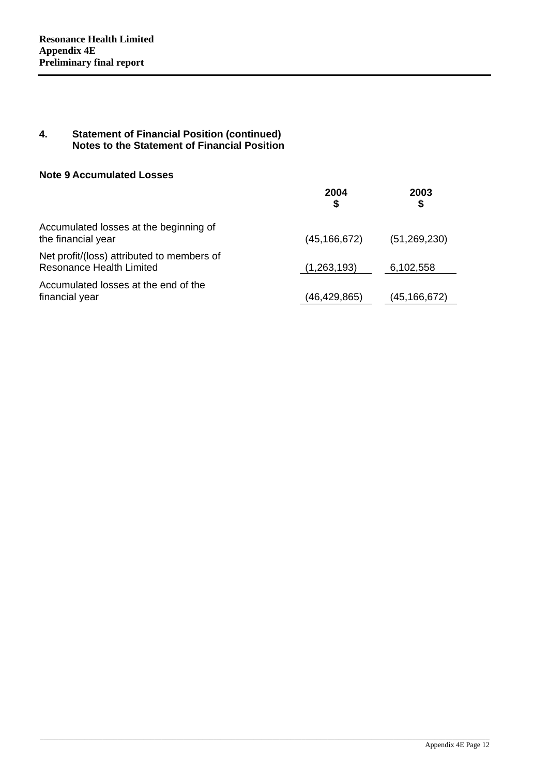#### **Note 9 Accumulated Losses**

|                                                                               | 2004           | 2003<br>S      |
|-------------------------------------------------------------------------------|----------------|----------------|
| Accumulated losses at the beginning of<br>the financial year                  | (45, 166, 672) | (51, 269, 230) |
| Net profit/(loss) attributed to members of<br><b>Resonance Health Limited</b> | (1,263,193)    | 6,102,558      |
| Accumulated losses at the end of the<br>financial year                        | (46,429,865)   | (45,166,672)   |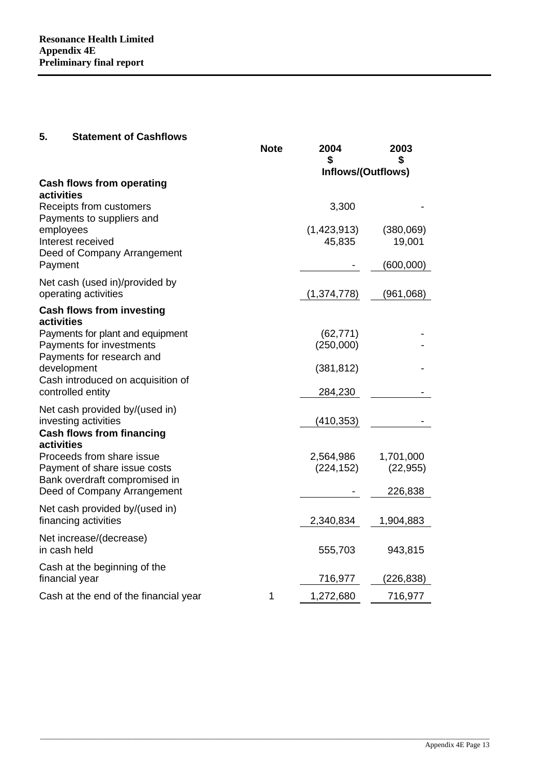#### **5. Statement of Cashflows**

|                                                                                            | <b>Note</b> | 2004<br>\$<br>Inflows/(Outflows) | 2003<br>\$             |
|--------------------------------------------------------------------------------------------|-------------|----------------------------------|------------------------|
| <b>Cash flows from operating</b>                                                           |             |                                  |                        |
| activities<br>Receipts from customers<br>Payments to suppliers and                         |             | 3,300                            |                        |
| employees<br>Interest received<br>Deed of Company Arrangement                              |             | (1,423,913)<br>45,835            | (380,069)<br>19,001    |
| Payment                                                                                    |             |                                  | (600,000)              |
| Net cash (used in)/provided by<br>operating activities                                     |             | (1,374,778)                      | (961,068)              |
| <b>Cash flows from investing</b><br>activities                                             |             |                                  |                        |
| Payments for plant and equipment<br>Payments for investments<br>Payments for research and  |             | (62, 771)<br>(250,000)           |                        |
| development<br>Cash introduced on acquisition of                                           |             | (381, 812)                       |                        |
| controlled entity                                                                          |             | 284,230                          |                        |
| Net cash provided by/(used in)<br>investing activities                                     |             | (410, 353)                       |                        |
| <b>Cash flows from financing</b><br>activities                                             |             |                                  |                        |
| Proceeds from share issue<br>Payment of share issue costs<br>Bank overdraft compromised in |             | 2,564,986<br>(224, 152)          | 1,701,000<br>(22, 955) |
| Deed of Company Arrangement                                                                |             |                                  | 226,838                |
| Net cash provided by/(used in)<br>financing activities                                     |             | 2,340,834                        | 1,904,883              |
| Net increase/(decrease)<br>in cash held                                                    |             | 555,703                          | 943,815                |
| Cash at the beginning of the<br>financial year                                             |             | 716,977                          | (226,838)              |
| Cash at the end of the financial year                                                      | 1           | 1,272,680                        | 716,977                |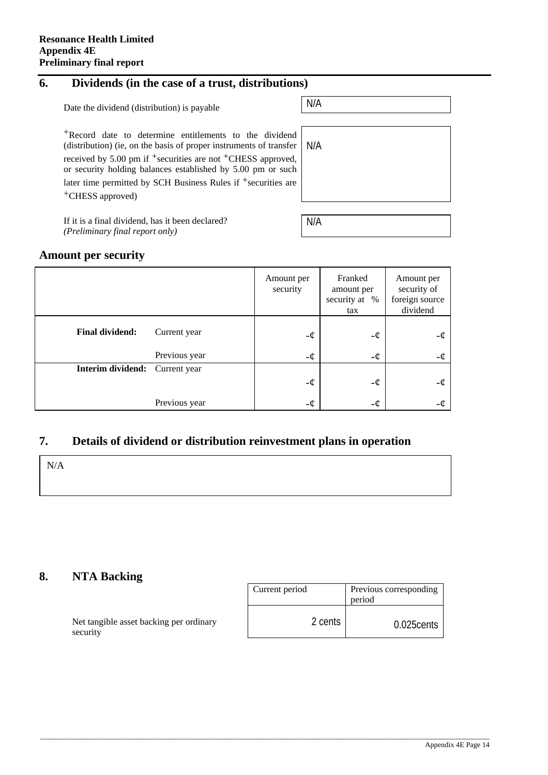### **6. Dividends (in the case of a trust, distributions)**

Date the dividend (distribution) is payable  $N/A$ 

+Record date to determine entitlements to the dividend (distribution) (ie, on the basis of proper instruments of transfer received by 5.00 pm if  $+$ securities are not  $+$ CHESS approved or security holding balances established by 5.00 pm or such later time permitted by SCH Business Rules if <sup>+</sup>securities are +CHESS approved)

| .            |     |
|--------------|-----|
| $\mathbf{r}$ | N/A |
| d,<br>h      |     |
| e            |     |
|              |     |

If it is a final dividend, has it been declared? *(Preliminary final report only)*

| N/A |  |  |
|-----|--|--|
|     |  |  |

#### **Amount per security**

|                        |               | Amount per<br>security | Franked<br>amount per<br>security at %<br>tax | Amount per<br>security of<br>foreign source<br>dividend |
|------------------------|---------------|------------------------|-----------------------------------------------|---------------------------------------------------------|
| <b>Final dividend:</b> | Current year  | -¢                     | -¢                                            | -¢                                                      |
|                        | Previous year | -¢                     | -¢                                            | -¢                                                      |
| Interim dividend:      | Current year  |                        |                                               |                                                         |
|                        |               | $-\phi$                | -¢                                            | -¢                                                      |
|                        | Previous year | -¢                     | -¢                                            | -¢                                                      |

#### **7. Details of dividend or distribution reinvestment plans in operation**

\_\_\_\_\_\_\_\_\_\_\_\_\_\_\_\_\_\_\_\_\_\_\_\_\_\_\_\_\_\_\_\_\_\_\_\_\_\_\_\_\_\_\_\_\_\_\_\_\_\_\_\_\_\_\_\_\_\_\_\_\_\_\_\_\_\_\_\_\_\_\_\_\_\_\_\_\_\_\_\_\_\_\_\_\_\_\_\_\_\_\_\_\_\_\_\_\_\_\_\_\_\_\_\_\_\_\_\_\_\_\_\_\_\_\_\_\_\_\_\_\_\_

N/A

#### **8. NTA Backing**

Net tangible asset backing per ordinary security

| Current period | Previous corresponding<br>period |
|----------------|----------------------------------|
| 2 cents        | $0.025$ cents                    |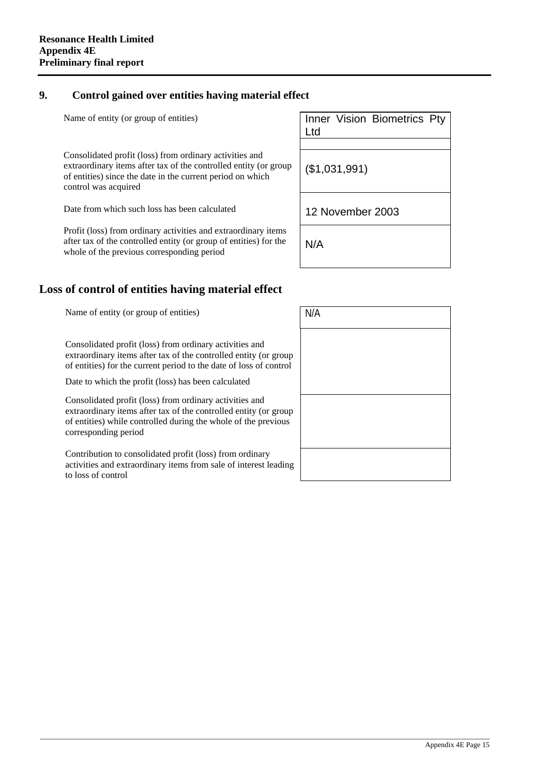#### **9. Control gained over entities having material effect**

Name of entity (or group of entities)

Consolidated profit (loss) from ordinary activities and extraordinary items after tax of the controlled entity (or group of entities) since the date in the current period on which control was acquired

Date from which such loss has been calculated

Profit (loss) from ordinary activities and extraordinary items after tax of the controlled entity (or group of entities) for the whole of the previous corresponding period

| Inner Vision Biometrics Pty<br>l td |
|-------------------------------------|
|                                     |
| (\$1,031,991)                       |
| 12 November 2003                    |
| N/A                                 |

#### **Loss of control of entities having material effect**

Name of entity (or group of entities)  $N/A$ 

Consolidated profit (loss) from ordinary activities and extraordinary items after tax of the controlled entity (or group of entities) for the current period to the date of loss of control

Date to which the profit (loss) has been calculated

Consolidated profit (loss) from ordinary activities and extraordinary items after tax of the controlled entity (or group of entities) while controlled during the whole of the previous corresponding period

Contribution to consolidated profit (loss) from ordinary activities and extraordinary items from sale of interest leading to loss of control

| N/A |
|-----|
|     |
|     |
|     |
|     |
|     |
|     |
|     |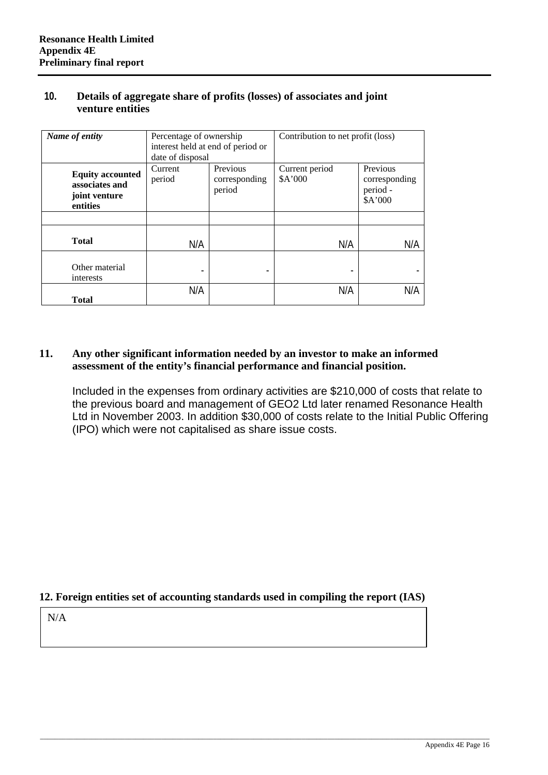#### **10. Details of aggregate share of profits (losses) of associates and joint venture entities**

| Name of entity                                                         | Percentage of ownership<br>date of disposal | interest held at end of period or   | Contribution to net profit (loss) |                                                  |
|------------------------------------------------------------------------|---------------------------------------------|-------------------------------------|-----------------------------------|--------------------------------------------------|
| <b>Equity accounted</b><br>associates and<br>joint venture<br>entities | Current<br>period                           | Previous<br>corresponding<br>period | Current period<br>\$A'000         | Previous<br>corresponding<br>period -<br>\$A'000 |
|                                                                        |                                             |                                     |                                   |                                                  |
| <b>Total</b>                                                           | N/A                                         |                                     | N/A                               | N/A                                              |
| Other material<br>interests                                            |                                             |                                     |                                   |                                                  |
| Total                                                                  | N/A                                         |                                     | N/A                               | N/A                                              |

#### **11. Any other significant information needed by an investor to make an informed assessment of the entity's financial performance and financial position.**

Included in the expenses from ordinary activities are \$210,000 of costs that relate to the previous board and management of GEO2 Ltd later renamed Resonance Health Ltd in November 2003. In addition \$30,000 of costs relate to the Initial Public Offering (IPO) which were not capitalised as share issue costs.

#### **12. Foreign entities set of accounting standards used in compiling the report (IAS)**

N/A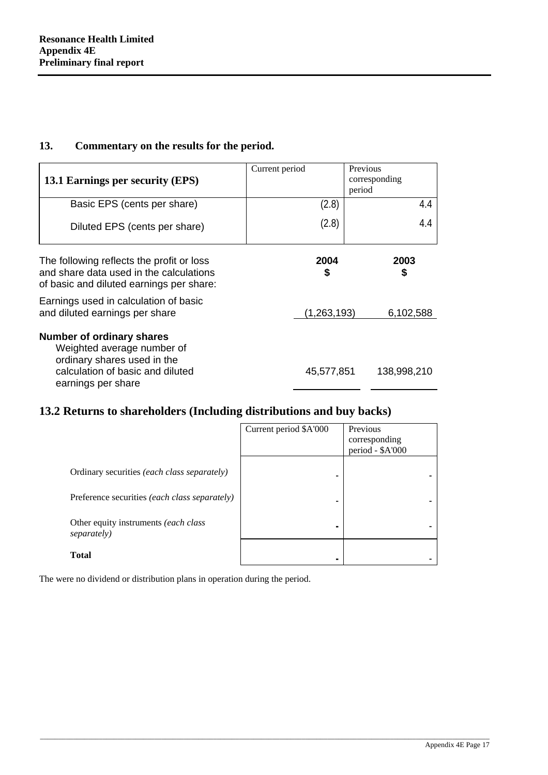#### **13. Commentary on the results for the period.**

| 13.1 Earnings per security (EPS)                                                                                                                 | Current period | Previous<br>corresponding<br>period |
|--------------------------------------------------------------------------------------------------------------------------------------------------|----------------|-------------------------------------|
| Basic EPS (cents per share)                                                                                                                      | (2.8)          | 4.4                                 |
| Diluted EPS (cents per share)                                                                                                                    | (2.8)          | 4.4                                 |
| The following reflects the profit or loss<br>and share data used in the calculations<br>of basic and diluted earnings per share:                 | 2004<br>\$     | 2003<br>\$                          |
| Earnings used in calculation of basic<br>and diluted earnings per share                                                                          | (1,263,193)    | 6,102,588                           |
| Number of ordinary shares<br>Weighted average number of<br>ordinary shares used in the<br>calculation of basic and diluted<br>earnings per share | 45,577,851     | 138,998,210                         |

### **13.2 Returns to shareholders (Including distributions and buy backs)**

|                                                      | Current period \$A'000 | Previous<br>corresponding<br>period - \$A'000 |
|------------------------------------------------------|------------------------|-----------------------------------------------|
| Ordinary securities (each class separately)          |                        |                                               |
| Preference securities <i>(each class separately)</i> |                        |                                               |
| Other equity instruments (each class)<br>separately) |                        |                                               |
| <b>Total</b>                                         |                        |                                               |

\_\_\_\_\_\_\_\_\_\_\_\_\_\_\_\_\_\_\_\_\_\_\_\_\_\_\_\_\_\_\_\_\_\_\_\_\_\_\_\_\_\_\_\_\_\_\_\_\_\_\_\_\_\_\_\_\_\_\_\_\_\_\_\_\_\_\_\_\_\_\_\_\_\_\_\_\_\_\_\_\_\_\_\_\_\_\_\_\_\_\_\_\_\_\_\_\_\_\_\_\_\_\_\_\_\_\_\_\_\_\_\_\_\_\_\_\_\_\_\_\_\_

The were no dividend or distribution plans in operation during the period.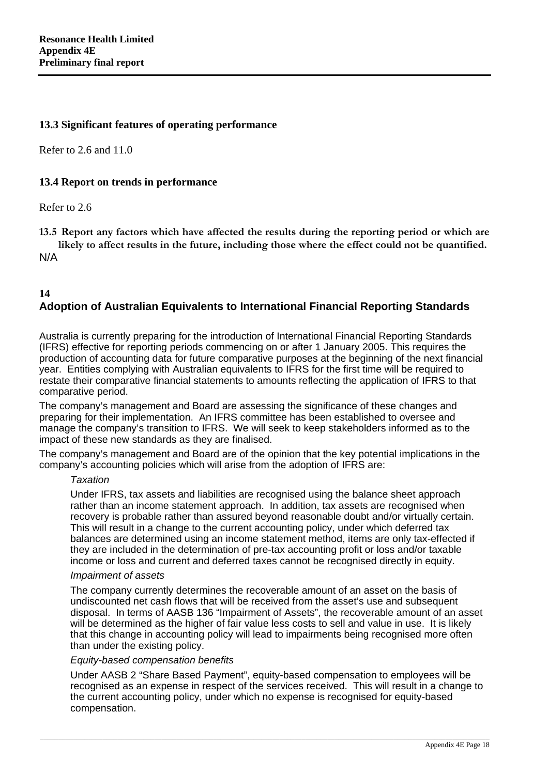#### **13.3 Significant features of operating performance**

Refer to 2.6 and 11.0

#### **13.4 Report on trends in performance**

Refer to 2.6

**13.5 Report any factors which have affected the results during the reporting period or which are likely to affect results in the future, including those where the effect could not be quantified.** N/A

#### **14 Adoption of Australian Equivalents to International Financial Reporting Standards**

Australia is currently preparing for the introduction of International Financial Reporting Standards (IFRS) effective for reporting periods commencing on or after 1 January 2005. This requires the production of accounting data for future comparative purposes at the beginning of the next financial year. Entities complying with Australian equivalents to IFRS for the first time will be required to restate their comparative financial statements to amounts reflecting the application of IFRS to that comparative period.

The company's management and Board are assessing the significance of these changes and preparing for their implementation. An IFRS committee has been established to oversee and manage the company's transition to IFRS. We will seek to keep stakeholders informed as to the impact of these new standards as they are finalised.

The company's management and Board are of the opinion that the key potential implications in the company's accounting policies which will arise from the adoption of IFRS are:

#### *Taxation*

Under IFRS, tax assets and liabilities are recognised using the balance sheet approach rather than an income statement approach. In addition, tax assets are recognised when recovery is probable rather than assured beyond reasonable doubt and/or virtually certain. This will result in a change to the current accounting policy, under which deferred tax balances are determined using an income statement method, items are only tax-effected if they are included in the determination of pre-tax accounting profit or loss and/or taxable income or loss and current and deferred taxes cannot be recognised directly in equity.

#### *Impairment of assets*

The company currently determines the recoverable amount of an asset on the basis of undiscounted net cash flows that will be received from the asset's use and subsequent disposal. In terms of AASB 136 "Impairment of Assets", the recoverable amount of an asset will be determined as the higher of fair value less costs to sell and value in use. It is likely that this change in accounting policy will lead to impairments being recognised more often than under the existing policy.

#### *Equity-based compensation benefits*

Under AASB 2 "Share Based Payment", equity-based compensation to employees will be recognised as an expense in respect of the services received. This will result in a change to the current accounting policy, under which no expense is recognised for equity-based compensation.